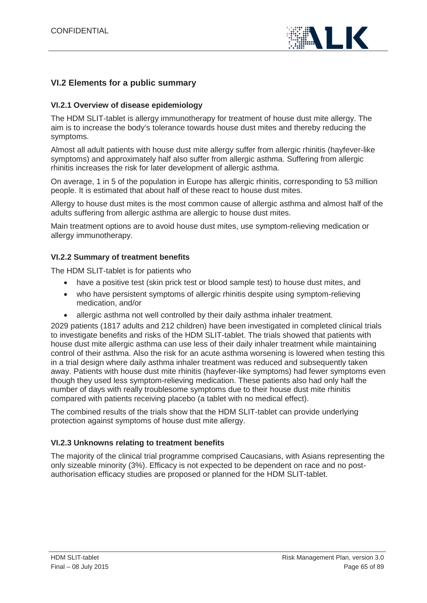

# **VI.2 Elements for a public summary**

## **VI.2.1 Overview of disease epidemiology**

The HDM SLIT-tablet is allergy immunotherapy for treatment of house dust mite allergy. The aim is to increase the body's tolerance towards house dust mites and thereby reducing the symptoms.

Almost all adult patients with house dust mite allergy suffer from allergic rhinitis (hayfever-like symptoms) and approximately half also suffer from allergic asthma. Suffering from allergic rhinitis increases the risk for later development of allergic asthma.

On average, 1 in 5 of the population in Europe has allergic rhinitis, corresponding to 53 million people. It is estimated that about half of these react to house dust mites.

Allergy to house dust mites is the most common cause of allergic asthma and almost half of the adults suffering from allergic asthma are allergic to house dust mites.

Main treatment options are to avoid house dust mites, use symptom-relieving medication or allergy immunotherapy.

## **VI.2.2 Summary of treatment benefits**

The HDM SLIT-tablet is for patients who

- have a positive test (skin prick test or blood sample test) to house dust mites, and
- who have persistent symptoms of allergic rhinitis despite using symptom-relieving medication, and/or
- allergic asthma not well controlled by their daily asthma inhaler treatment.

2029 patients (1817 adults and 212 children) have been investigated in completed clinical trials to investigate benefits and risks of the HDM SLIT-tablet. The trials showed that patients with house dust mite allergic asthma can use less of their daily inhaler treatment while maintaining control of their asthma. Also the risk for an acute asthma worsening is lowered when testing this in a trial design where daily asthma inhaler treatment was reduced and subsequently taken away. Patients with house dust mite rhinitis (hayfever-like symptoms) had fewer symptoms even though they used less symptom-relieving medication. These patients also had only half the number of days with really troublesome symptoms due to their house dust mite rhinitis compared with patients receiving placebo (a tablet with no medical effect).

The combined results of the trials show that the HDM SLIT-tablet can provide underlying protection against symptoms of house dust mite allergy.

#### **VI.2.3 Unknowns relating to treatment benefits**

The majority of the clinical trial programme comprised Caucasians, with Asians representing the only sizeable minority (3%). Efficacy is not expected to be dependent on race and no postauthorisation efficacy studies are proposed or planned for the HDM SLIT-tablet.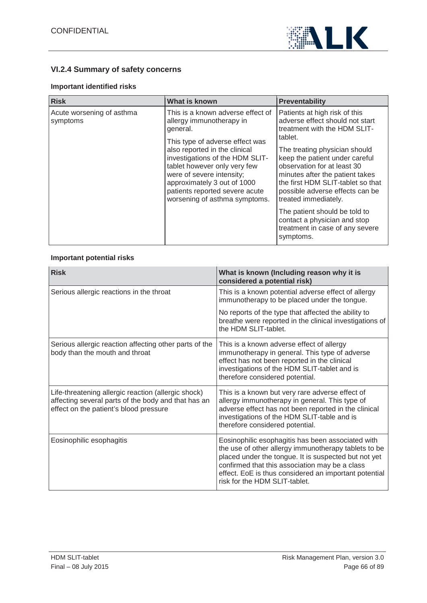

# **VI.2.4 Summary of safety concerns**

## **Important identified risks**

| <b>Risk</b>                                                                        | What is known                                                                                                                                                                                  | <b>Preventability</b>                                                                                                                                                                                                             |
|------------------------------------------------------------------------------------|------------------------------------------------------------------------------------------------------------------------------------------------------------------------------------------------|-----------------------------------------------------------------------------------------------------------------------------------------------------------------------------------------------------------------------------------|
| Acute worsening of asthma<br>symptoms<br>general.<br>also reported in the clinical | This is a known adverse effect of<br>allergy immunotherapy in<br>This type of adverse effect was                                                                                               | Patients at high risk of this<br>adverse effect should not start<br>treatment with the HDM SLIT-<br>tablet.                                                                                                                       |
|                                                                                    | investigations of the HDM SLIT-<br>tablet however only very few<br>were of severe intensity;<br>approximately 3 out of 1000<br>patients reported severe acute<br>worsening of asthma symptoms. | The treating physician should<br>keep the patient under careful<br>observation for at least 30<br>minutes after the patient takes<br>the first HDM SLIT-tablet so that<br>possible adverse effects can be<br>treated immediately. |
|                                                                                    |                                                                                                                                                                                                | The patient should be told to<br>contact a physician and stop<br>treatment in case of any severe<br>symptoms.                                                                                                                     |

#### **Important potential risks**

| <b>Risk</b>                                                                                                                                          | What is known (Including reason why it is<br>considered a potential risk)                                                                                                                                                                                                                                     |
|------------------------------------------------------------------------------------------------------------------------------------------------------|---------------------------------------------------------------------------------------------------------------------------------------------------------------------------------------------------------------------------------------------------------------------------------------------------------------|
| Serious allergic reactions in the throat                                                                                                             | This is a known potential adverse effect of allergy<br>immunotherapy to be placed under the tongue.                                                                                                                                                                                                           |
|                                                                                                                                                      | No reports of the type that affected the ability to<br>breathe were reported in the clinical investigations of<br>the HDM SLIT-tablet.                                                                                                                                                                        |
| Serious allergic reaction affecting other parts of the<br>body than the mouth and throat                                                             | This is a known adverse effect of allergy<br>immunotherapy in general. This type of adverse<br>effect has not been reported in the clinical<br>investigations of the HDM SLIT-tablet and is<br>therefore considered potential.                                                                                |
| Life-threatening allergic reaction (allergic shock)<br>affecting several parts of the body and that has an<br>effect on the patient's blood pressure | This is a known but very rare adverse effect of<br>allergy immunotherapy in general. This type of<br>adverse effect has not been reported in the clinical<br>investigations of the HDM SLIT-table and is<br>therefore considered potential.                                                                   |
| Eosinophilic esophagitis                                                                                                                             | Eosinophilic esophagitis has been associated with<br>the use of other allergy immunotherapy tablets to be<br>placed under the tongue. It is suspected but not yet<br>confirmed that this association may be a class<br>effect. EoE is thus considered an important potential<br>risk for the HDM SLIT-tablet. |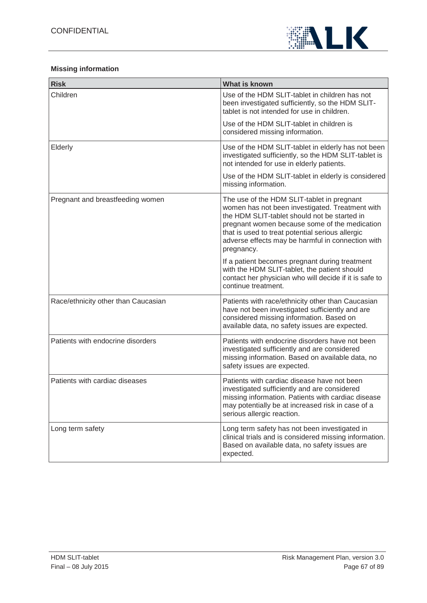

## **Missing information**

| <b>Risk</b>                         | What is known                                                                                                                                                                                                                                                                                                         |
|-------------------------------------|-----------------------------------------------------------------------------------------------------------------------------------------------------------------------------------------------------------------------------------------------------------------------------------------------------------------------|
| Children                            | Use of the HDM SLIT-tablet in children has not<br>been investigated sufficiently, so the HDM SLIT-<br>tablet is not intended for use in children.                                                                                                                                                                     |
|                                     | Use of the HDM SLIT-tablet in children is<br>considered missing information.                                                                                                                                                                                                                                          |
| Elderly                             | Use of the HDM SLIT-tablet in elderly has not been<br>investigated sufficiently, so the HDM SLIT-tablet is<br>not intended for use in elderly patients.                                                                                                                                                               |
|                                     | Use of the HDM SLIT-tablet in elderly is considered<br>missing information.                                                                                                                                                                                                                                           |
| Pregnant and breastfeeding women    | The use of the HDM SLIT-tablet in pregnant<br>women has not been investigated. Treatment with<br>the HDM SLIT-tablet should not be started in<br>pregnant women because some of the medication<br>that is used to treat potential serious allergic<br>adverse effects may be harmful in connection with<br>pregnancy. |
|                                     | If a patient becomes pregnant during treatment<br>with the HDM SLIT-tablet, the patient should<br>contact her physician who will decide if it is safe to<br>continue treatment.                                                                                                                                       |
| Race/ethnicity other than Caucasian | Patients with race/ethnicity other than Caucasian<br>have not been investigated sufficiently and are<br>considered missing information. Based on<br>available data, no safety issues are expected.                                                                                                                    |
| Patients with endocrine disorders   | Patients with endocrine disorders have not been<br>investigated sufficiently and are considered<br>missing information. Based on available data, no<br>safety issues are expected.                                                                                                                                    |
| Patients with cardiac diseases      | Patients with cardiac disease have not been<br>investigated sufficiently and are considered<br>missing information. Patients with cardiac disease<br>may potentially be at increased risk in case of a<br>serious allergic reaction.                                                                                  |
| Long term safety                    | Long term safety has not been investigated in<br>clinical trials and is considered missing information.<br>Based on available data, no safety issues are<br>expected.                                                                                                                                                 |